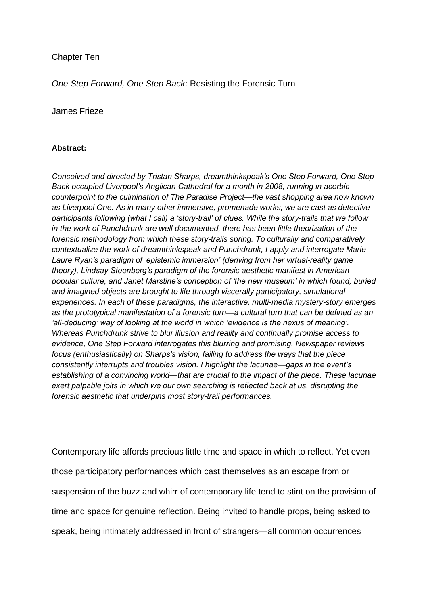# Chapter Ten

*One Step Forward, One Step Back*: Resisting the Forensic Turn

## James Frieze

## **Abstract:**

*Conceived and directed by Tristan Sharps, dreamthinkspeak's One Step Forward, One Step Back occupied Liverpool's Anglican Cathedral for a month in 2008, running in acerbic counterpoint to the culmination of The Paradise Project—the vast shopping area now known as Liverpool One. As in many other immersive, promenade works, we are cast as detectiveparticipants following (what I call) a 'story-trail' of clues. While the story-trails that we follow in the work of Punchdrunk are well documented, there has been little theorization of the forensic methodology from which these story-trails spring. To culturally and comparatively contextualize the work of dreamthinkspeak and Punchdrunk, I apply and interrogate Marie-Laure Ryan's paradigm of 'epistemic immersion' (deriving from her virtual-reality game theory), Lindsay Steenberg's paradigm of the forensic aesthetic manifest in American popular culture, and Janet Marstine's conception of 'the new museum' in which found, buried and imagined objects are brought to life through viscerally participatory, simulational experiences. In each of these paradigms, the interactive, multi-media mystery-story emerges as the prototypical manifestation of a forensic turn—a cultural turn that can be defined as an 'all-deducing' way of looking at the world in which 'evidence is the nexus of meaning'. Whereas Punchdrunk strive to blur illusion and reality and continually promise access to evidence, One Step Forward interrogates this blurring and promising. Newspaper reviews focus (enthusiastically) on Sharps's vision, failing to address the ways that the piece consistently interrupts and troubles vision. I highlight the lacunae—gaps in the event's establishing of a convincing world—that are crucial to the impact of the piece. These lacunae exert palpable jolts in which we our own searching is reflected back at us, disrupting the forensic aesthetic that underpins most story-trail performances.*

Contemporary life affords precious little time and space in which to reflect. Yet even those participatory performances which cast themselves as an escape from or suspension of the buzz and whirr of contemporary life tend to stint on the provision of time and space for genuine reflection. Being invited to handle props, being asked to speak, being intimately addressed in front of strangers—all common occurrences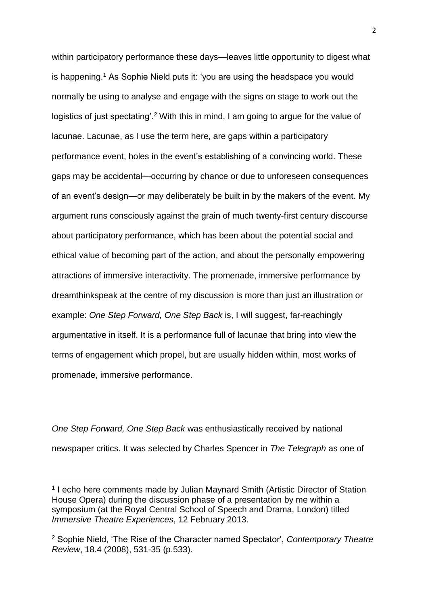within participatory performance these days—leaves little opportunity to digest what is happening.<sup>1</sup> As Sophie Nield puts it: 'you are using the headspace you would normally be using to analyse and engage with the signs on stage to work out the logistics of just spectating'.<sup>2</sup> With this in mind, I am going to argue for the value of lacunae. Lacunae, as I use the term here, are gaps within a participatory performance event, holes in the event's establishing of a convincing world. These gaps may be accidental—occurring by chance or due to unforeseen consequences of an event's design—or may deliberately be built in by the makers of the event. My argument runs consciously against the grain of much twenty-first century discourse about participatory performance, which has been about the potential social and ethical value of becoming part of the action, and about the personally empowering attractions of immersive interactivity. The promenade, immersive performance by dreamthinkspeak at the centre of my discussion is more than just an illustration or example: *One Step Forward, One Step Back* is, I will suggest, far-reachingly argumentative in itself. It is a performance full of lacunae that bring into view the terms of engagement which propel, but are usually hidden within, most works of promenade, immersive performance.

*One Step Forward, One Step Back* was enthusiastically received by national newspaper critics. It was selected by Charles Spencer in *The Telegraph* as one of

<sup>&</sup>lt;sup>1</sup> I echo here comments made by Julian Maynard Smith (Artistic Director of Station House Opera) during the discussion phase of a presentation by me within a symposium (at the Royal Central School of Speech and Drama, London) titled *Immersive Theatre Experiences*, 12 February 2013.

<sup>2</sup> Sophie Nield, 'The Rise of the Character named Spectator', *Contemporary Theatre Review*, 18.4 (2008), 531-35 (p.533).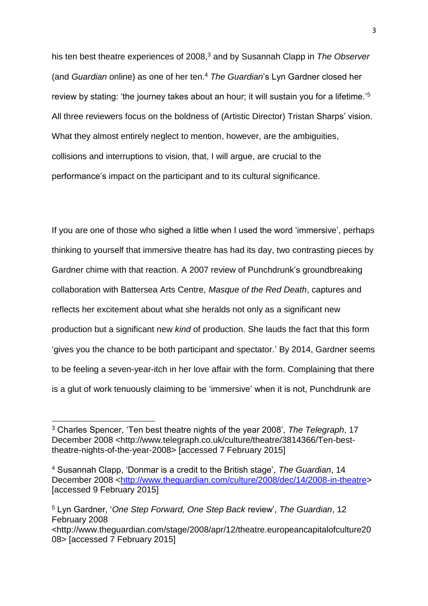his ten best theatre experiences of 2008,<sup>3</sup> and by Susannah Clapp in *The Observer* (and *Guardian* online) as one of her ten.<sup>4</sup> *The Guardian*'s Lyn Gardner closed her review by stating: 'the journey takes about an hour; it will sustain you for a lifetime.'<sup>5</sup> All three reviewers focus on the boldness of (Artistic Director) Tristan Sharps' vision. What they almost entirely neglect to mention, however, are the ambiguities, collisions and interruptions to vision, that, I will argue, are crucial to the performance's impact on the participant and to its cultural significance.

If you are one of those who sighed a little when I used the word 'immersive', perhaps thinking to yourself that immersive theatre has had its day, two contrasting pieces by Gardner chime with that reaction. A 2007 review of Punchdrunk's groundbreaking collaboration with Battersea Arts Centre, *Masque of the Red Death*, captures and reflects her excitement about what she heralds not only as a significant new production but a significant new *kind* of production. She lauds the fact that this form 'gives you the chance to be both participant and spectator.' By 2014, Gardner seems to be feeling a seven-year-itch in her love affair with the form. Complaining that there is a glut of work tenuously claiming to be 'immersive' when it is not, Punchdrunk are

<sup>3</sup> Charles Spencer, 'Ten best theatre nights of the year 2008', *The Telegraph*, 17 December 2008 <http://www.telegraph.co.uk/culture/theatre/3814366/Ten-besttheatre-nights-of-the-year-2008> [accessed 7 February 2015]

<sup>4</sup> Susannah Clapp, 'Donmar is a credit to the British stage', *The Guardian*, 14 December 2008 [<http://www.theguardian.com/culture/2008/dec/14/2008-in-theatre>](http://www.theguardian.com/culture/2008/dec/14/2008-in-theatre) [accessed 9 February 2015]

<sup>5</sup> Lyn Gardner, '*One Step Forward, One Step Back* review', *The Guardian*, 12 February 2008 <http://www.theguardian.com/stage/2008/apr/12/theatre.europeancapitalofculture20

<sup>08&</sup>gt; [accessed 7 February 2015]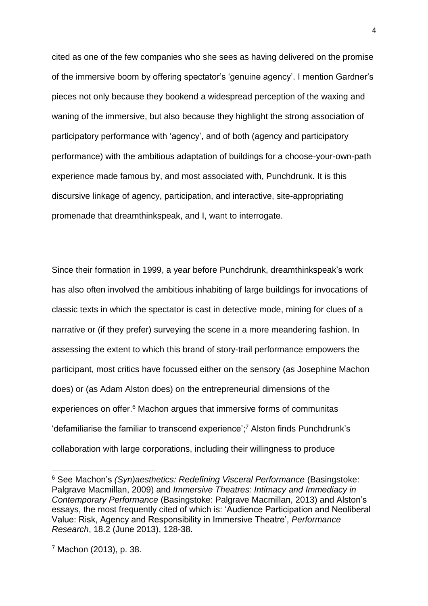cited as one of the few companies who she sees as having delivered on the promise of the immersive boom by offering spectator's 'genuine agency'. I mention Gardner's pieces not only because they bookend a widespread perception of the waxing and waning of the immersive, but also because they highlight the strong association of participatory performance with 'agency', and of both (agency and participatory performance) with the ambitious adaptation of buildings for a choose-your-own-path experience made famous by, and most associated with, Punchdrunk. It is this discursive linkage of agency, participation, and interactive, site-appropriating promenade that dreamthinkspeak, and I, want to interrogate.

Since their formation in 1999, a year before Punchdrunk, dreamthinkspeak's work has also often involved the ambitious inhabiting of large buildings for invocations of classic texts in which the spectator is cast in detective mode, mining for clues of a narrative or (if they prefer) surveying the scene in a more meandering fashion. In assessing the extent to which this brand of story-trail performance empowers the participant, most critics have focussed either on the sensory (as Josephine Machon does) or (as Adam Alston does) on the entrepreneurial dimensions of the experiences on offer.<sup>6</sup> Machon argues that immersive forms of communitas 'defamiliarise the familiar to transcend experience'; <sup>7</sup> Alston finds Punchdrunk's collaboration with large corporations, including their willingness to produce

<sup>6</sup> See Machon's *(Syn)aesthetics: Redefining Visceral Performance* (Basingstoke: Palgrave Macmillan, 2009) and *Immersive Theatres: Intimacy and Immediacy in Contemporary Performance* (Basingstoke: Palgrave Macmillan, 2013) and Alston's essays, the most frequently cited of which is: 'Audience Participation and Neoliberal Value: Risk, Agency and Responsibility in Immersive Theatre', *Performance Research*, 18.2 (June 2013), 128-38.

<sup>7</sup> Machon (2013), p. 38.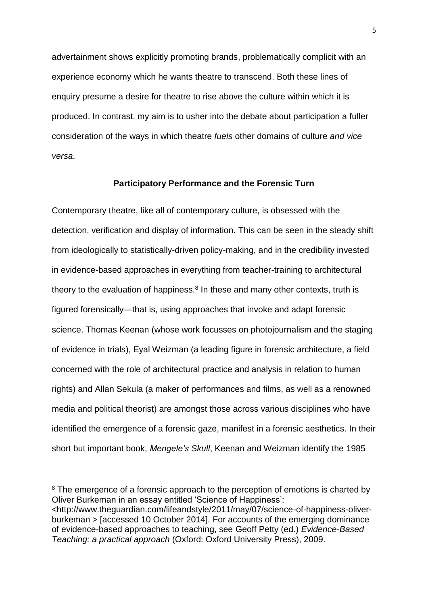advertainment shows explicitly promoting brands, problematically complicit with an experience economy which he wants theatre to transcend. Both these lines of enquiry presume a desire for theatre to rise above the culture within which it is produced. In contrast, my aim is to usher into the debate about participation a fuller consideration of the ways in which theatre *fuels* other domains of culture *and vice versa*.

#### **Participatory Performance and the Forensic Turn**

Contemporary theatre, like all of contemporary culture, is obsessed with the detection, verification and display of information. This can be seen in the steady shift from ideologically to statistically-driven policy-making, and in the credibility invested in evidence-based approaches in everything from teacher-training to architectural theory to the evaluation of happiness. $8$  In these and many other contexts, truth is figured forensically—that is, using approaches that invoke and adapt forensic science. Thomas Keenan (whose work focusses on photojournalism and the staging of evidence in trials), Eyal Weizman (a leading figure in forensic architecture, a field concerned with the role of architectural practice and analysis in relation to human rights) and Allan Sekula (a maker of performances and films, as well as a renowned media and political theorist) are amongst those across various disciplines who have identified the emergence of a forensic gaze, manifest in a forensic aesthetics. In their short but important book, *Mengele's Skull*, Keenan and Weizman identify the 1985

<sup>&</sup>lt;sup>8</sup> The emergence of a forensic approach to the perception of emotions is charted by Oliver Burkeman in an essay entitled 'Science of Happiness':

<sup>&</sup>lt;http://www.theguardian.com/lifeandstyle/2011/may/07/science-of-happiness-oliverburkeman > [accessed 10 October 2014]. For accounts of the emerging dominance of evidence-based approaches to teaching, see Geoff Petty (ed.) *Evidence-Based Teaching: a practical approach* (Oxford: Oxford University Press), 2009.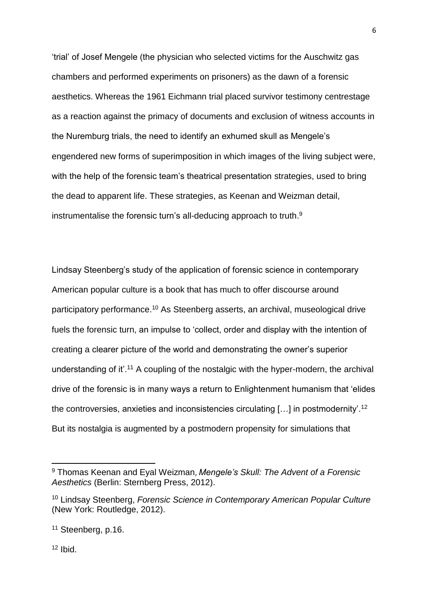'trial' of Josef Mengele (the physician who selected victims for the Auschwitz gas chambers and performed experiments on prisoners) as the dawn of a forensic aesthetics. Whereas the 1961 Eichmann trial placed survivor testimony centrestage as a reaction against the primacy of documents and exclusion of witness accounts in the Nuremburg trials, the need to identify an exhumed skull as Mengele's engendered new forms of superimposition in which images of the living subject were, with the help of the forensic team's theatrical presentation strategies, used to bring the dead to apparent life. These strategies, as Keenan and Weizman detail, instrumentalise the forensic turn's all-deducing approach to truth.<sup>9</sup>

Lindsay Steenberg's study of the application of forensic science in contemporary American popular culture is a book that has much to offer discourse around participatory performance.<sup>10</sup> As Steenberg asserts, an archival, museological drive fuels the forensic turn, an impulse to 'collect, order and display with the intention of creating a clearer picture of the world and demonstrating the owner's superior understanding of it'.<sup>11</sup> A coupling of the nostalgic with the hyper-modern, the archival drive of the forensic is in many ways a return to Enlightenment humanism that 'elides the controversies, anxieties and inconsistencies circulating […] in postmodernity'.<sup>12</sup> But its nostalgia is augmented by a postmodern propensity for simulations that

6

<sup>12</sup> Ibid.

<sup>9</sup> Thomas Keenan and Eyal Weizman, *Mengele's Skull: The Advent of a Forensic Aesthetics* (Berlin: Sternberg Press, 2012).

<sup>10</sup> Lindsay Steenberg, *Forensic Science in Contemporary American Popular Culture*  (New York: Routledge, 2012).

<sup>&</sup>lt;sup>11</sup> Steenberg, p.16.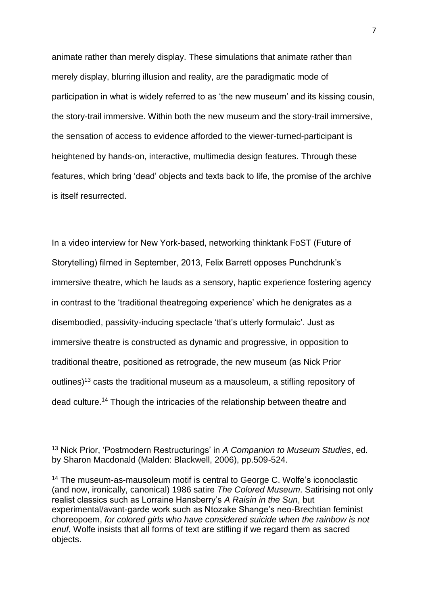animate rather than merely display. These simulations that animate rather than merely display, blurring illusion and reality, are the paradigmatic mode of participation in what is widely referred to as 'the new museum' and its kissing cousin, the story-trail immersive. Within both the new museum and the story-trail immersive, the sensation of access to evidence afforded to the viewer-turned-participant is heightened by hands-on, interactive, multimedia design features. Through these features, which bring 'dead' objects and texts back to life, the promise of the archive is itself resurrected.

In a video interview for New York-based, networking thinktank FoST (Future of Storytelling) filmed in September, 2013, Felix Barrett opposes Punchdrunk's immersive theatre, which he lauds as a sensory, haptic experience fostering agency in contrast to the 'traditional theatregoing experience' which he denigrates as a disembodied, passivity-inducing spectacle 'that's utterly formulaic'. Just as immersive theatre is constructed as dynamic and progressive, in opposition to traditional theatre, positioned as retrograde, the new museum (as Nick Prior outlines)<sup>13</sup> casts the traditional museum as a mausoleum, a stifling repository of dead culture.<sup>14</sup> Though the intricacies of the relationship between theatre and

<sup>13</sup> Nick Prior, 'Postmodern Restructurings' in *A Companion to Museum Studies*, ed. by Sharon Macdonald (Malden: Blackwell, 2006), pp.509-524.

<sup>&</sup>lt;sup>14</sup> The museum-as-mausoleum motif is central to George C. Wolfe's iconoclastic (and now, ironically, canonical) 1986 satire *The Colored Museum*. Satirising not only realist classics such as Lorraine Hansberry's *A Raisin in the Sun*, but experimental/avant-garde work such as Ntozake Shange's neo-Brechtian feminist choreopoem, *for colored girls who have considered suicide when the rainbow is not enuf*, Wolfe insists that all forms of text are stifling if we regard them as sacred objects.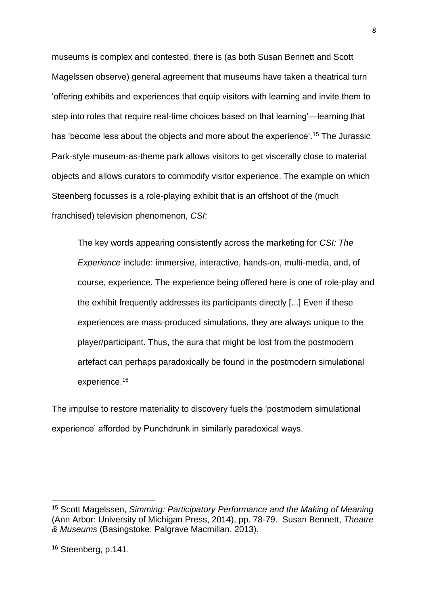museums is complex and contested, there is (as both Susan Bennett and Scott Magelssen observe) general agreement that museums have taken a theatrical turn 'offering exhibits and experiences that equip visitors with learning and invite them to step into roles that require real-time choices based on that learning'—learning that has 'become less about the objects and more about the experience'.<sup>15</sup> The Jurassic Park-style museum-as-theme park allows visitors to get viscerally close to material objects and allows curators to commodify visitor experience. The example on which Steenberg focusses is a role-playing exhibit that is an offshoot of the (much franchised) television phenomenon, *CSI*:

The key words appearing consistently across the marketing for *CSI: The Experience* include: immersive, interactive, hands-on, multi-media, and, of course, experience. The experience being offered here is one of role-play and the exhibit frequently addresses its participants directly [...] Even if these experiences are mass-produced simulations, they are always unique to the player/participant. Thus, the aura that might be lost from the postmodern artefact can perhaps paradoxically be found in the postmodern simulational experience.<sup>16</sup>

The impulse to restore materiality to discovery fuels the 'postmodern simulational experience' afforded by Punchdrunk in similarly paradoxical ways.

<sup>15</sup> Scott Magelssen, *Simming: Participatory Performance and the Making of Meaning* (Ann Arbor: University of Michigan Press, 2014), pp. 78-79. Susan Bennett, *Theatre & Museums* (Basingstoke: Palgrave Macmillan, 2013).

<sup>16</sup> Steenberg, p.141.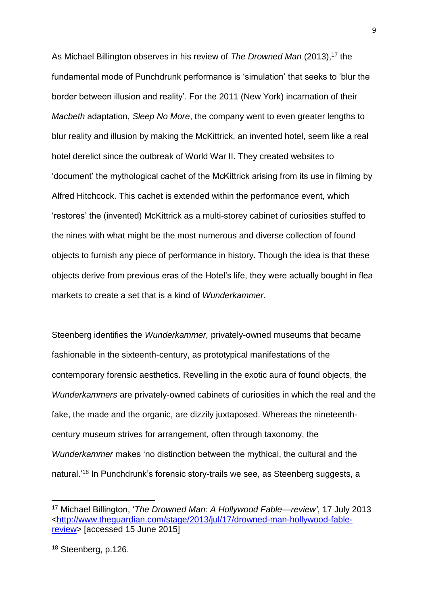As Michael Billington observes in his review of *The Drowned Man* (2013), <sup>17</sup> the fundamental mode of Punchdrunk performance is 'simulation' that seeks to 'blur the border between illusion and reality'. For the 2011 (New York) incarnation of their *Macbeth* adaptation, *Sleep No More*, the company went to even greater lengths to blur reality and illusion by making the McKittrick, an invented hotel, seem like a real hotel derelict since the outbreak of World War II. They created websites to 'document' the mythological cachet of the McKittrick arising from its use in filming by Alfred Hitchcock. This cachet is extended within the performance event, which 'restores' the (invented) McKittrick as a multi-storey cabinet of curiosities stuffed to the nines with what might be the most numerous and diverse collection of found objects to furnish any piece of performance in history. Though the idea is that these objects derive from previous eras of the Hotel's life, they were actually bought in flea markets to create a set that is a kind of *Wunderkammer*.

Steenberg identifies the *Wunderkammer,* privately-owned museums that became fashionable in the sixteenth-century, as prototypical manifestations of the contemporary forensic aesthetics. Revelling in the exotic aura of found objects, the *Wunderkammers* are privately-owned cabinets of curiosities in which the real and the fake, the made and the organic, are dizzily juxtaposed. Whereas the nineteenthcentury museum strives for arrangement, often through taxonomy, the *Wunderkammer* makes 'no distinction between the mythical, the cultural and the natural.' <sup>18</sup> In Punchdrunk's forensic story-trails we see, as Steenberg suggests, a

<sup>17</sup> Michael Billington, '*The Drowned Man: A Hollywood Fable—review'*, 17 July 2013 [<http://www.theguardian.com/stage/2013/jul/17/drowned-man-hollywood-fable](http://www.theguardian.com/stage/2013/jul/17/drowned-man-hollywood-fable-review)[review>](http://www.theguardian.com/stage/2013/jul/17/drowned-man-hollywood-fable-review) [accessed 15 June 2015]

<sup>18</sup> Steenberg, p.126.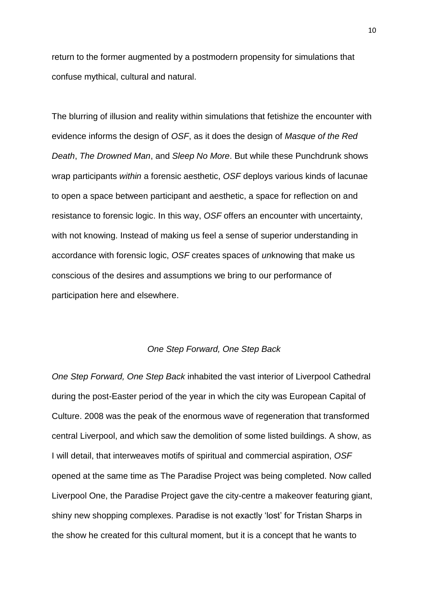return to the former augmented by a postmodern propensity for simulations that confuse mythical, cultural and natural.

The blurring of illusion and reality within simulations that fetishize the encounter with evidence informs the design of *OSF*, as it does the design of *Masque of the Red Death*, *The Drowned Man*, and *Sleep No More*. But while these Punchdrunk shows wrap participants *within* a forensic aesthetic, *OSF* deploys various kinds of lacunae to open a space between participant and aesthetic, a space for reflection on and resistance to forensic logic. In this way, *OSF* offers an encounter with uncertainty, with not knowing. Instead of making us feel a sense of superior understanding in accordance with forensic logic, *OSF* creates spaces of *un*knowing that make us conscious of the desires and assumptions we bring to our performance of participation here and elsewhere.

#### *One Step Forward, One Step Back*

*One Step Forward, One Step Back* inhabited the vast interior of Liverpool Cathedral during the post-Easter period of the year in which the city was European Capital of Culture. 2008 was the peak of the enormous wave of regeneration that transformed central Liverpool, and which saw the demolition of some listed buildings. A show, as I will detail, that interweaves motifs of spiritual and commercial aspiration, *OSF* opened at the same time as The Paradise Project was being completed. Now called Liverpool One, the Paradise Project gave the city-centre a makeover featuring giant, shiny new shopping complexes. Paradise is not exactly 'lost' for Tristan Sharps in the show he created for this cultural moment, but it is a concept that he wants to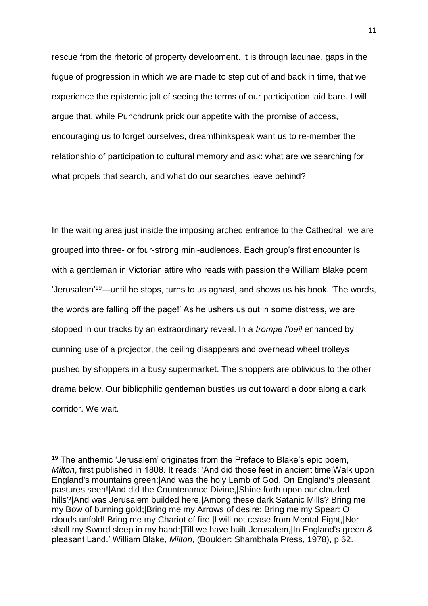rescue from the rhetoric of property development. It is through lacunae, gaps in the fugue of progression in which we are made to step out of and back in time, that we experience the epistemic jolt of seeing the terms of our participation laid bare. I will argue that, while Punchdrunk prick our appetite with the promise of access, encouraging us to forget ourselves, dreamthinkspeak want us to re-member the relationship of participation to cultural memory and ask: what are we searching for, what propels that search, and what do our searches leave behind?

In the waiting area just inside the imposing arched entrance to the Cathedral, we are grouped into three- or four-strong mini-audiences. Each group's first encounter is with a gentleman in Victorian attire who reads with passion the William Blake poem 'Jerusalem' <sup>19</sup>—until he stops, turns to us aghast, and shows us his book. 'The words, the words are falling off the page!' As he ushers us out in some distress, we are stopped in our tracks by an extraordinary reveal. In a *trompe l'oeil* enhanced by cunning use of a projector, the ceiling disappears and overhead wheel trolleys pushed by shoppers in a busy supermarket. The shoppers are oblivious to the other drama below. Our bibliophilic gentleman bustles us out toward a door along a dark corridor. We wait.

<sup>&</sup>lt;sup>19</sup> The anthemic 'Jerusalem' originates from the Preface to Blake's epic poem, *Milton*, first published in 1808. It reads: 'And did those feet in ancient time|Walk upon England's mountains green:|And was the holy Lamb of God,|On England's pleasant pastures seen!|And did the Countenance Divine,|Shine forth upon our clouded hills?|And was Jerusalem builded here,|Among these dark Satanic Mills?|Bring me my Bow of burning gold;|Bring me my Arrows of desire:|Bring me my Spear: O clouds unfold!|Bring me my Chariot of fire!|I will not cease from Mental Fight,|Nor shall my Sword sleep in my hand:|Till we have built Jerusalem,|In England's green & pleasant Land.' William Blake, *Milton*, (Boulder: Shambhala Press, 1978), p.62.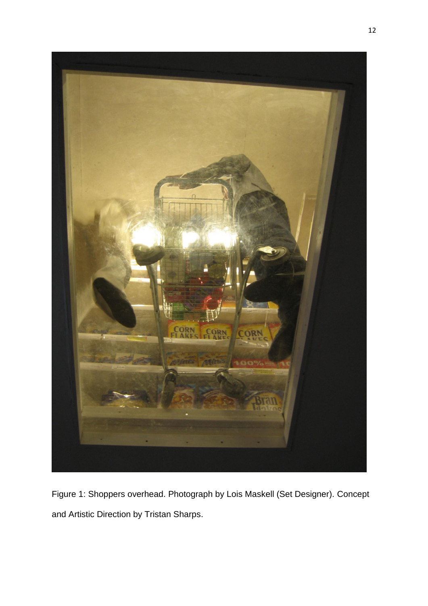

Figure 1: Shoppers overhead. Photograph by Lois Maskell (Set Designer). Concept and Artistic Direction by Tristan Sharps.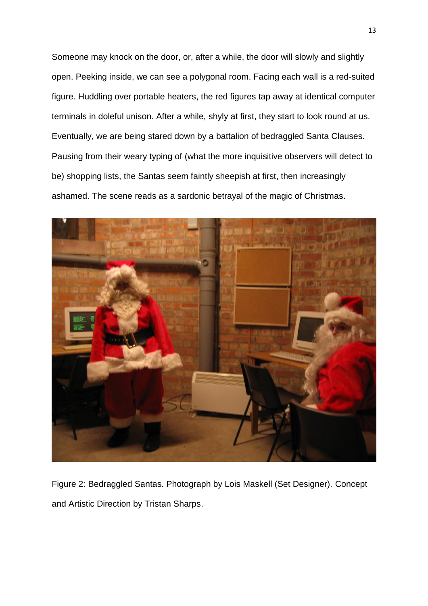Someone may knock on the door, or, after a while, the door will slowly and slightly open. Peeking inside, we can see a polygonal room. Facing each wall is a red-suited figure. Huddling over portable heaters, the red figures tap away at identical computer terminals in doleful unison. After a while, shyly at first, they start to look round at us. Eventually, we are being stared down by a battalion of bedraggled Santa Clauses. Pausing from their weary typing of (what the more inquisitive observers will detect to be) shopping lists, the Santas seem faintly sheepish at first, then increasingly ashamed. The scene reads as a sardonic betrayal of the magic of Christmas.



Figure 2: Bedraggled Santas. Photograph by Lois Maskell (Set Designer). Concept and Artistic Direction by Tristan Sharps.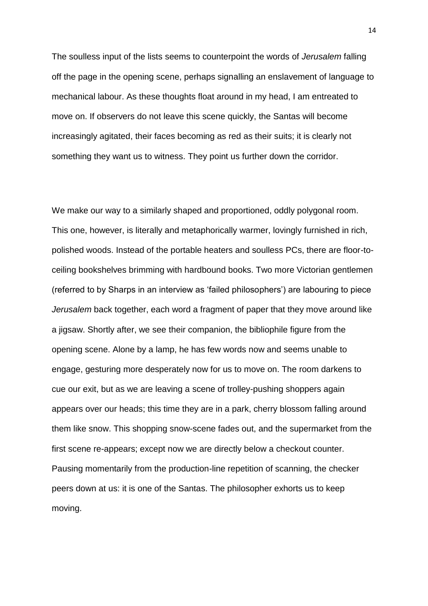The soulless input of the lists seems to counterpoint the words of *Jerusalem* falling off the page in the opening scene, perhaps signalling an enslavement of language to mechanical labour. As these thoughts float around in my head, I am entreated to move on. If observers do not leave this scene quickly, the Santas will become increasingly agitated, their faces becoming as red as their suits; it is clearly not something they want us to witness. They point us further down the corridor.

We make our way to a similarly shaped and proportioned, oddly polygonal room. This one, however, is literally and metaphorically warmer, lovingly furnished in rich, polished woods. Instead of the portable heaters and soulless PCs, there are floor-toceiling bookshelves brimming with hardbound books. Two more Victorian gentlemen (referred to by Sharps in an interview as 'failed philosophers') are labouring to piece *Jerusalem* back together, each word a fragment of paper that they move around like a jigsaw. Shortly after, we see their companion, the bibliophile figure from the opening scene. Alone by a lamp, he has few words now and seems unable to engage, gesturing more desperately now for us to move on. The room darkens to cue our exit, but as we are leaving a scene of trolley-pushing shoppers again appears over our heads; this time they are in a park, cherry blossom falling around them like snow. This shopping snow-scene fades out, and the supermarket from the first scene re-appears; except now we are directly below a checkout counter. Pausing momentarily from the production-line repetition of scanning, the checker peers down at us: it is one of the Santas. The philosopher exhorts us to keep moving.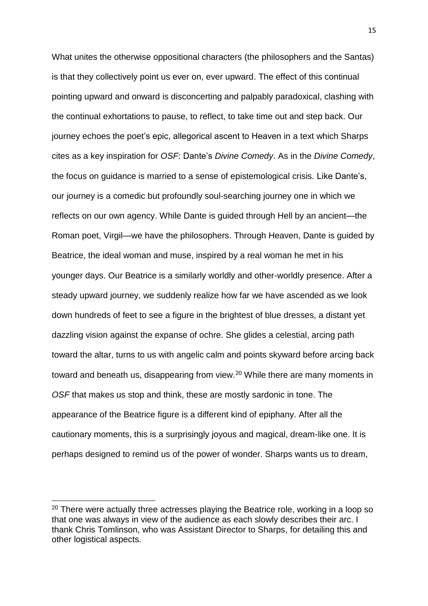What unites the otherwise oppositional characters (the philosophers and the Santas) is that they collectively point us ever on, ever upward. The effect of this continual pointing upward and onward is disconcerting and palpably paradoxical, clashing with the continual exhortations to pause, to reflect, to take time out and step back. Our journey echoes the poet's epic, allegorical ascent to Heaven in a text which Sharps cites as a key inspiration for *OSF*: Dante's *Divine Comedy*. As in the *Divine Comedy*, the focus on guidance is married to a sense of epistemological crisis. Like Dante's, our journey is a comedic but profoundly soul-searching journey one in which we reflects on our own agency. While Dante is guided through Hell by an ancient—the Roman poet, Virgil—we have the philosophers. Through Heaven, Dante is guided by Beatrice, the ideal woman and muse, inspired by a real woman he met in his younger days. Our Beatrice is a similarly worldly and other-worldly presence. After a steady upward journey, we suddenly realize how far we have ascended as we look down hundreds of feet to see a figure in the brightest of blue dresses, a distant yet dazzling vision against the expanse of ochre. She glides a celestial, arcing path toward the altar, turns to us with angelic calm and points skyward before arcing back toward and beneath us, disappearing from view.<sup>20</sup> While there are many moments in *OSF* that makes us stop and think, these are mostly sardonic in tone. The appearance of the Beatrice figure is a different kind of epiphany. After all the cautionary moments, this is a surprisingly joyous and magical, dream-like one. It is perhaps designed to remind us of the power of wonder. Sharps wants us to dream,

 $20$  There were actually three actresses playing the Beatrice role, working in a loop so that one was always in view of the audience as each slowly describes their arc. I thank Chris Tomlinson, who was Assistant Director to Sharps, for detailing this and other logistical aspects.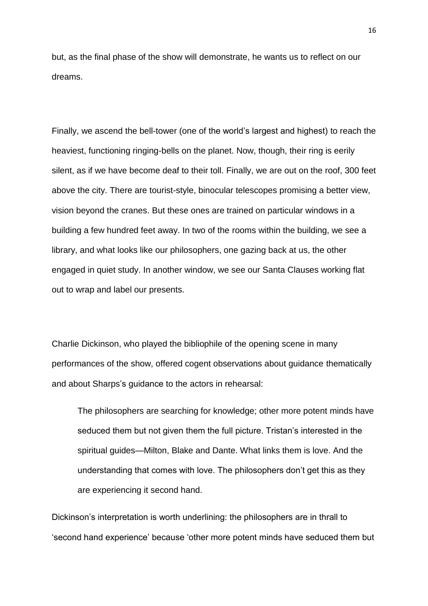but, as the final phase of the show will demonstrate, he wants us to reflect on our dreams.

Finally, we ascend the bell-tower (one of the world's largest and highest) to reach the heaviest, functioning ringing-bells on the planet. Now, though, their ring is eerily silent, as if we have become deaf to their toll. Finally, we are out on the roof, 300 feet above the city. There are tourist-style, binocular telescopes promising a better view, vision beyond the cranes. But these ones are trained on particular windows in a building a few hundred feet away. In two of the rooms within the building, we see a library, and what looks like our philosophers, one gazing back at us, the other engaged in quiet study. In another window, we see our Santa Clauses working flat out to wrap and label our presents.

Charlie Dickinson, who played the bibliophile of the opening scene in many performances of the show, offered cogent observations about guidance thematically and about Sharps's guidance to the actors in rehearsal:

The philosophers are searching for knowledge; other more potent minds have seduced them but not given them the full picture. Tristan's interested in the spiritual guides—Milton, Blake and Dante. What links them is love. And the understanding that comes with love. The philosophers don't get this as they are experiencing it second hand.

Dickinson's interpretation is worth underlining: the philosophers are in thrall to 'second hand experience' because 'other more potent minds have seduced them but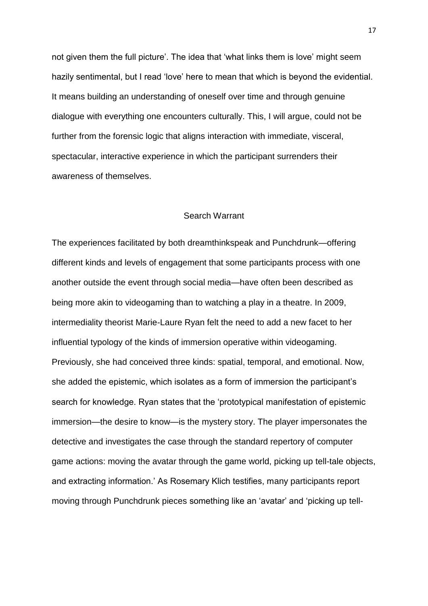not given them the full picture'. The idea that 'what links them is love' might seem hazily sentimental, but I read 'love' here to mean that which is beyond the evidential. It means building an understanding of oneself over time and through genuine dialogue with everything one encounters culturally. This, I will argue, could not be further from the forensic logic that aligns interaction with immediate, visceral, spectacular, interactive experience in which the participant surrenders their awareness of themselves.

### Search Warrant

The experiences facilitated by both dreamthinkspeak and Punchdrunk—offering different kinds and levels of engagement that some participants process with one another outside the event through social media—have often been described as being more akin to videogaming than to watching a play in a theatre. In 2009, intermediality theorist Marie-Laure Ryan felt the need to add a new facet to her influential typology of the kinds of immersion operative within videogaming. Previously, she had conceived three kinds: spatial, temporal, and emotional. Now, she added the epistemic, which isolates as a form of immersion the participant's search for knowledge. Ryan states that the 'prototypical manifestation of epistemic immersion—the desire to know—is the mystery story. The player impersonates the detective and investigates the case through the standard repertory of computer game actions: moving the avatar through the game world, picking up tell-tale objects, and extracting information.' As Rosemary Klich testifies, many participants report moving through Punchdrunk pieces something like an 'avatar' and 'picking up tell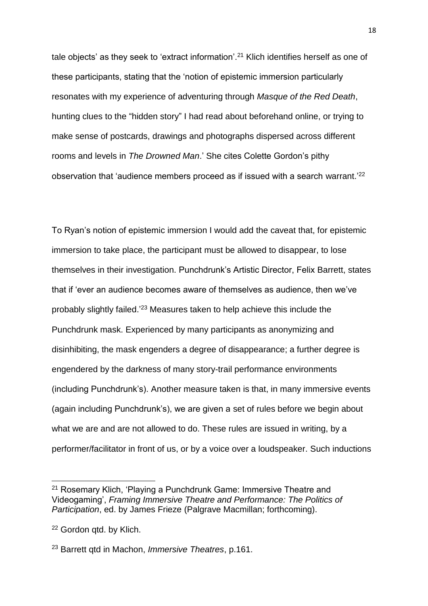tale objects' as they seek to 'extract information'.<sup>21</sup> Klich identifies herself as one of these participants, stating that the 'notion of epistemic immersion particularly resonates with my experience of adventuring through *Masque of the Red Death*, hunting clues to the "hidden story" I had read about beforehand online, or trying to make sense of postcards, drawings and photographs dispersed across different rooms and levels in *The Drowned Man*.' She cites Colette Gordon's pithy observation that 'audience members proceed as if issued with a search warrant.'<sup>22</sup>

To Ryan's notion of epistemic immersion I would add the caveat that, for epistemic immersion to take place, the participant must be allowed to disappear, to lose themselves in their investigation. Punchdrunk's Artistic Director, Felix Barrett, states that if 'ever an audience becomes aware of themselves as audience, then we've probably slightly failed.<sup>'23</sup> Measures taken to help achieve this include the Punchdrunk mask. Experienced by many participants as anonymizing and disinhibiting, the mask engenders a degree of disappearance; a further degree is engendered by the darkness of many story-trail performance environments (including Punchdrunk's). Another measure taken is that, in many immersive events (again including Punchdrunk's), we are given a set of rules before we begin about what we are and are not allowed to do. These rules are issued in writing, by a performer/facilitator in front of us, or by a voice over a loudspeaker. Such inductions

<sup>21</sup> Rosemary Klich, 'Playing a Punchdrunk Game: Immersive Theatre and Videogaming', *Framing Immersive Theatre and Performance: The Politics of Participation*, ed. by James Frieze (Palgrave Macmillan; forthcoming).

<sup>&</sup>lt;sup>22</sup> Gordon qtd. by Klich.

<sup>23</sup> Barrett qtd in Machon, *Immersive Theatres*, p.161.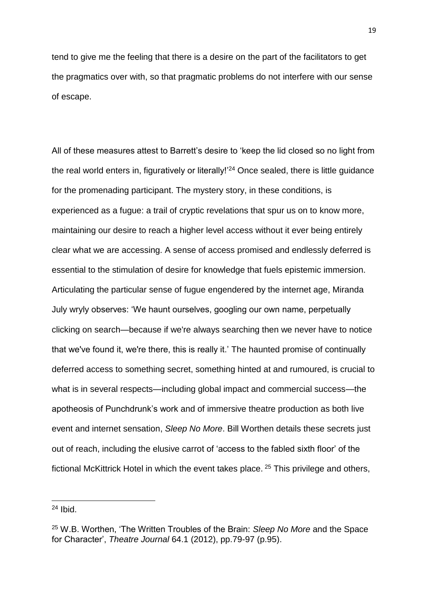tend to give me the feeling that there is a desire on the part of the facilitators to get the pragmatics over with, so that pragmatic problems do not interfere with our sense of escape.

All of these measures attest to Barrett's desire to 'keep the lid closed so no light from the real world enters in, figuratively or literally!<sup>24</sup> Once sealed, there is little guidance for the promenading participant. The mystery story, in these conditions, is experienced as a fugue: a trail of cryptic revelations that spur us on to know more, maintaining our desire to reach a higher level access without it ever being entirely clear what we are accessing. A sense of access promised and endlessly deferred is essential to the stimulation of desire for knowledge that fuels epistemic immersion. Articulating the particular sense of fugue engendered by the internet age, Miranda July wryly observes: 'We haunt ourselves, googling our own name, perpetually clicking on search—because if we're always searching then we never have to notice that we've found it, we're there, this is really it.' The haunted promise of continually deferred access to something secret, something hinted at and rumoured, is crucial to what is in several respects—including global impact and commercial success—the apotheosis of Punchdrunk's work and of immersive theatre production as both live event and internet sensation, *Sleep No More*. Bill Worthen details these secrets just out of reach, including the elusive carrot of 'access to the fabled sixth floor' of the fictional McKittrick Hotel in which the event takes place. <sup>25</sup> This privilege and others,

 $24$  Ibid.

<sup>25</sup> W.B. Worthen, 'The Written Troubles of the Brain: *Sleep No More* and the Space for Character', *Theatre Journal* 64.1 (2012), pp.79-97 (p.95).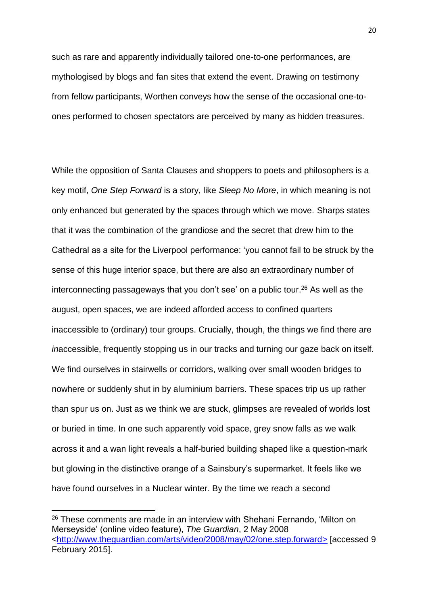such as rare and apparently individually tailored one-to-one performances, are mythologised by blogs and fan sites that extend the event. Drawing on testimony from fellow participants, Worthen conveys how the sense of the occasional one-toones performed to chosen spectators are perceived by many as hidden treasures.

While the opposition of Santa Clauses and shoppers to poets and philosophers is a key motif, *One Step Forward* is a story, like *Sleep No More*, in which meaning is not only enhanced but generated by the spaces through which we move. Sharps states that it was the combination of the grandiose and the secret that drew him to the Cathedral as a site for the Liverpool performance: 'you cannot fail to be struck by the sense of this huge interior space, but there are also an extraordinary number of interconnecting passageways that you don't see' on a public tour.<sup>26</sup> As well as the august, open spaces, we are indeed afforded access to confined quarters inaccessible to (ordinary) tour groups. Crucially, though, the things we find there are *in*accessible, frequently stopping us in our tracks and turning our gaze back on itself. We find ourselves in stairwells or corridors, walking over small wooden bridges to nowhere or suddenly shut in by aluminium barriers. These spaces trip us up rather than spur us on. Just as we think we are stuck, glimpses are revealed of worlds lost or buried in time. In one such apparently void space, grey snow falls as we walk across it and a wan light reveals a half-buried building shaped like a question-mark but glowing in the distinctive orange of a Sainsbury's supermarket. It feels like we have found ourselves in a Nuclear winter. By the time we reach a second

 $\overline{\phantom{a}}$ 

 $26$  These comments are made in an interview with Shehani Fernando, 'Milton on Merseyside' (online video feature), *The Guardian*, 2 May 2008 [<http://www.theguardian.com/arts/video/2008/may/02/one.step.forward>](http://www.theguardian.com/arts/video/2008/may/02/one.step.forward) [accessed 9 February 2015].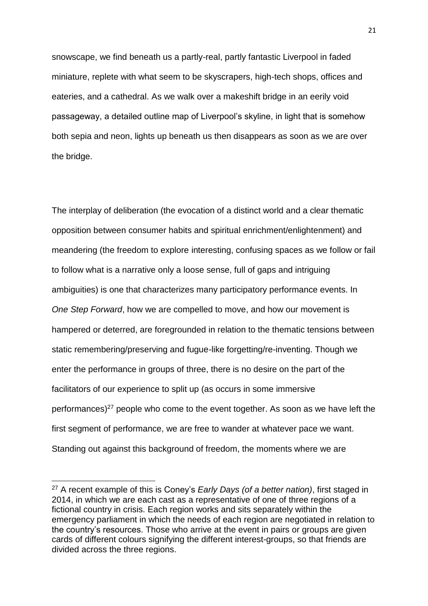snowscape, we find beneath us a partly-real, partly fantastic Liverpool in faded miniature, replete with what seem to be skyscrapers, high-tech shops, offices and eateries, and a cathedral. As we walk over a makeshift bridge in an eerily void passageway, a detailed outline map of Liverpool's skyline, in light that is somehow both sepia and neon, lights up beneath us then disappears as soon as we are over the bridge.

The interplay of deliberation (the evocation of a distinct world and a clear thematic opposition between consumer habits and spiritual enrichment/enlightenment) and meandering (the freedom to explore interesting, confusing spaces as we follow or fail to follow what is a narrative only a loose sense, full of gaps and intriguing ambiguities) is one that characterizes many participatory performance events. In *One Step Forward*, how we are compelled to move, and how our movement is hampered or deterred, are foregrounded in relation to the thematic tensions between static remembering/preserving and fugue-like forgetting/re-inventing. Though we enter the performance in groups of three, there is no desire on the part of the facilitators of our experience to split up (as occurs in some immersive performances) $27$  people who come to the event together. As soon as we have left the first segment of performance, we are free to wander at whatever pace we want. Standing out against this background of freedom, the moments where we are

<sup>27</sup> A recent example of this is Coney's *Early Days (of a better nation)*, first staged in 2014, in which we are each cast as a representative of one of three regions of a fictional country in crisis. Each region works and sits separately within the emergency parliament in which the needs of each region are negotiated in relation to the country's resources. Those who arrive at the event in pairs or groups are given cards of different colours signifying the different interest-groups, so that friends are divided across the three regions.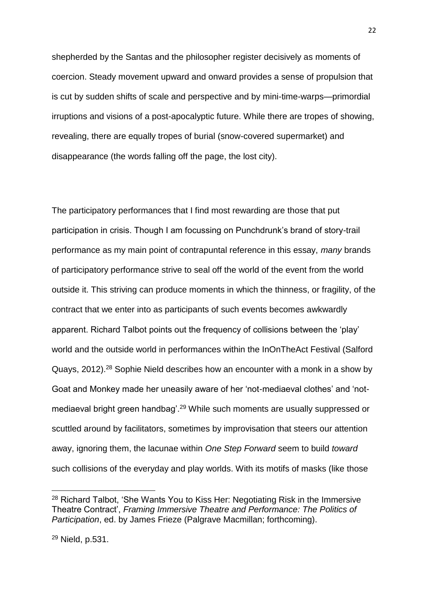shepherded by the Santas and the philosopher register decisively as moments of coercion. Steady movement upward and onward provides a sense of propulsion that is cut by sudden shifts of scale and perspective and by mini-time-warps—primordial irruptions and visions of a post-apocalyptic future. While there are tropes of showing, revealing, there are equally tropes of burial (snow-covered supermarket) and disappearance (the words falling off the page, the lost city).

The participatory performances that I find most rewarding are those that put participation in crisis. Though I am focussing on Punchdrunk's brand of story-trail performance as my main point of contrapuntal reference in this essay, *many* brands of participatory performance strive to seal off the world of the event from the world outside it. This striving can produce moments in which the thinness, or fragility, of the contract that we enter into as participants of such events becomes awkwardly apparent. Richard Talbot points out the frequency of collisions between the 'play' world and the outside world in performances within the InOnTheAct Festival (Salford Quays, 2012).<sup>28</sup> Sophie Nield describes how an encounter with a monk in a show by Goat and Monkey made her uneasily aware of her 'not-mediaeval clothes' and 'notmediaeval bright green handbag'.<sup>29</sup> While such moments are usually suppressed or scuttled around by facilitators, sometimes by improvisation that steers our attention away, ignoring them, the lacunae within *One Step Forward* seem to build *toward*  such collisions of the everyday and play worlds. With its motifs of masks (like those

<sup>28</sup> Richard Talbot, 'She Wants You to Kiss Her: Negotiating Risk in the Immersive Theatre Contract', *Framing Immersive Theatre and Performance: The Politics of Participation*, ed. by James Frieze (Palgrave Macmillan; forthcoming).

<sup>29</sup> Nield, p.531.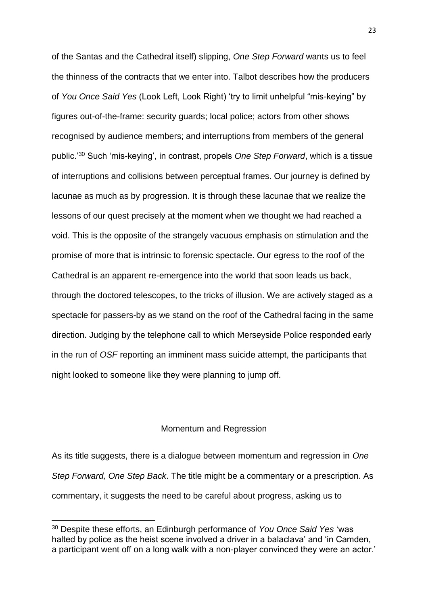of the Santas and the Cathedral itself) slipping, *One Step Forward* wants us to feel the thinness of the contracts that we enter into. Talbot describes how the producers of *You Once Said Yes* (Look Left, Look Right) 'try to limit unhelpful "mis-keying" by figures out-of-the-frame: security guards; local police; actors from other shows recognised by audience members; and interruptions from members of the general public.'<sup>30</sup> Such 'mis-keying', in contrast, propels *One Step Forward*, which is a tissue of interruptions and collisions between perceptual frames. Our journey is defined by lacunae as much as by progression. It is through these lacunae that we realize the lessons of our quest precisely at the moment when we thought we had reached a void. This is the opposite of the strangely vacuous emphasis on stimulation and the promise of more that is intrinsic to forensic spectacle. Our egress to the roof of the Cathedral is an apparent re-emergence into the world that soon leads us back, through the doctored telescopes, to the tricks of illusion. We are actively staged as a spectacle for passers-by as we stand on the roof of the Cathedral facing in the same direction. Judging by the telephone call to which Merseyside Police responded early in the run of *OSF* reporting an imminent mass suicide attempt, the participants that night looked to someone like they were planning to jump off.

## Momentum and Regression

As its title suggests, there is a dialogue between momentum and regression in *One Step Forward, One Step Back*. The title might be a commentary or a prescription. As commentary, it suggests the need to be careful about progress, asking us to

<sup>30</sup> Despite these efforts, an Edinburgh performance of *You Once Said Yes* 'was halted by police as the heist scene involved a driver in a balaclava' and 'in Camden, a participant went off on a long walk with a non-player convinced they were an actor.'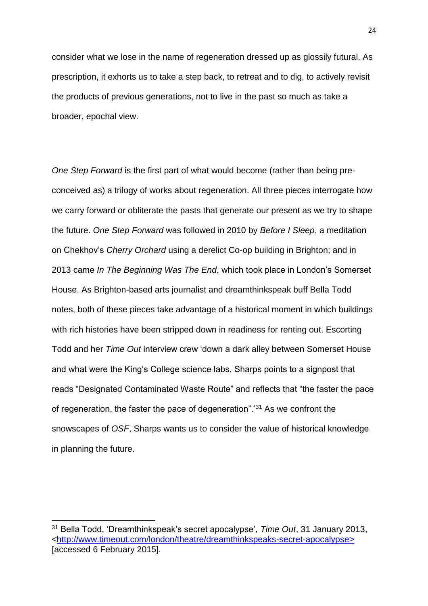consider what we lose in the name of regeneration dressed up as glossily futural. As prescription, it exhorts us to take a step back, to retreat and to dig, to actively revisit the products of previous generations, not to live in the past so much as take a broader, epochal view.

*One Step Forward* is the first part of what would become (rather than being preconceived as) a trilogy of works about regeneration. All three pieces interrogate how we carry forward or obliterate the pasts that generate our present as we try to shape the future. *One Step Forward* was followed in 2010 by *Before I Sleep*, a meditation on Chekhov's *Cherry Orchard* using a derelict Co-op building in Brighton; and in 2013 came *In The Beginning Was The End*, which took place in London's Somerset House. As Brighton-based arts journalist and dreamthinkspeak buff Bella Todd notes, both of these pieces take advantage of a historical moment in which buildings with rich histories have been stripped down in readiness for renting out. Escorting Todd and her *Time Out* interview crew 'down a dark alley between Somerset House and what were the King's College science labs, Sharps points to a signpost that reads "Designated Contaminated Waste Route" and reflects that "the faster the pace of regeneration, the faster the pace of degeneration".'<sup>31</sup> As we confront the snowscapes of *OSF*, Sharps wants us to consider the value of historical knowledge in planning the future.

<sup>31</sup> Bella Todd, 'Dreamthinkspeak's secret apocalypse', *Time Out*, 31 January 2013, [<http://www.timeout.com/london/theatre/dreamthinkspeaks-secret-apocalypse>](http://www.timeout.com/london/theatre/dreamthinkspeaks-secret-apocalypse) [accessed 6 February 2015].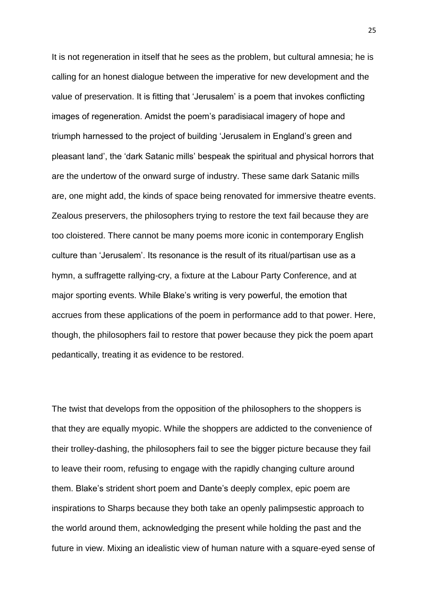It is not regeneration in itself that he sees as the problem, but cultural amnesia; he is calling for an honest dialogue between the imperative for new development and the value of preservation. It is fitting that 'Jerusalem' is a poem that invokes conflicting images of regeneration. Amidst the poem's paradisiacal imagery of hope and triumph harnessed to the project of building 'Jerusalem in England's green and pleasant land', the 'dark Satanic mills' bespeak the spiritual and physical horrors that are the undertow of the onward surge of industry. These same dark Satanic mills are, one might add, the kinds of space being renovated for immersive theatre events. Zealous preservers, the philosophers trying to restore the text fail because they are too cloistered. There cannot be many poems more iconic in contemporary English culture than 'Jerusalem'. Its resonance is the result of its ritual/partisan use as a hymn, a suffragette rallying-cry, a fixture at the Labour Party Conference, and at major sporting events. While Blake's writing is very powerful, the emotion that accrues from these applications of the poem in performance add to that power. Here, though, the philosophers fail to restore that power because they pick the poem apart pedantically, treating it as evidence to be restored.

The twist that develops from the opposition of the philosophers to the shoppers is that they are equally myopic. While the shoppers are addicted to the convenience of their trolley-dashing, the philosophers fail to see the bigger picture because they fail to leave their room, refusing to engage with the rapidly changing culture around them. Blake's strident short poem and Dante's deeply complex, epic poem are inspirations to Sharps because they both take an openly palimpsestic approach to the world around them, acknowledging the present while holding the past and the future in view. Mixing an idealistic view of human nature with a square-eyed sense of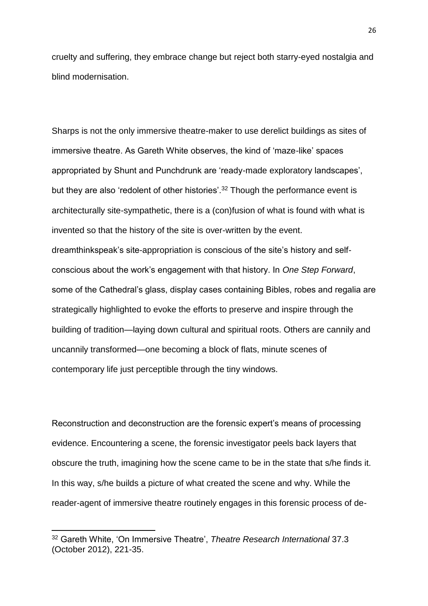cruelty and suffering, they embrace change but reject both starry-eyed nostalgia and blind modernisation.

Sharps is not the only immersive theatre-maker to use derelict buildings as sites of immersive theatre. As Gareth White observes, the kind of 'maze-like' spaces appropriated by Shunt and Punchdrunk are 'ready-made exploratory landscapes', but they are also 'redolent of other histories'.<sup>32</sup> Though the performance event is architecturally site-sympathetic, there is a (con)fusion of what is found with what is invented so that the history of the site is over-written by the event. dreamthinkspeak's site-appropriation is conscious of the site's history and selfconscious about the work's engagement with that history. In *One Step Forward*, some of the Cathedral's glass, display cases containing Bibles, robes and regalia are strategically highlighted to evoke the efforts to preserve and inspire through the building of tradition—laying down cultural and spiritual roots. Others are cannily and uncannily transformed—one becoming a block of flats, minute scenes of contemporary life just perceptible through the tiny windows.

Reconstruction and deconstruction are the forensic expert's means of processing evidence. Encountering a scene, the forensic investigator peels back layers that obscure the truth, imagining how the scene came to be in the state that s/he finds it. In this way, s/he builds a picture of what created the scene and why. While the reader-agent of immersive theatre routinely engages in this forensic process of de-

<sup>32</sup> Gareth White, 'On Immersive Theatre', *Theatre Research International* 37.3 (October 2012), 221-35.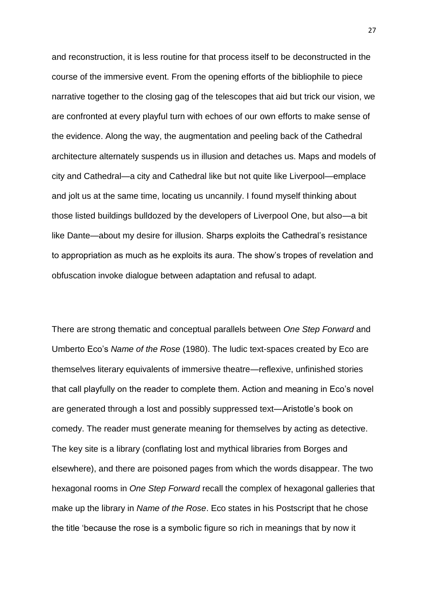and reconstruction, it is less routine for that process itself to be deconstructed in the course of the immersive event. From the opening efforts of the bibliophile to piece narrative together to the closing gag of the telescopes that aid but trick our vision, we are confronted at every playful turn with echoes of our own efforts to make sense of the evidence. Along the way, the augmentation and peeling back of the Cathedral architecture alternately suspends us in illusion and detaches us. Maps and models of city and Cathedral—a city and Cathedral like but not quite like Liverpool—emplace and jolt us at the same time, locating us uncannily. I found myself thinking about those listed buildings bulldozed by the developers of Liverpool One, but also—a bit like Dante—about my desire for illusion. Sharps exploits the Cathedral's resistance to appropriation as much as he exploits its aura. The show's tropes of revelation and obfuscation invoke dialogue between adaptation and refusal to adapt.

There are strong thematic and conceptual parallels between *One Step Forward* and Umberto Eco's *Name of the Rose* (1980). The ludic text-spaces created by Eco are themselves literary equivalents of immersive theatre—reflexive, unfinished stories that call playfully on the reader to complete them. Action and meaning in Eco's novel are generated through a lost and possibly suppressed text—Aristotle's book on comedy. The reader must generate meaning for themselves by acting as detective. The key site is a library (conflating lost and mythical libraries from Borges and elsewhere), and there are poisoned pages from which the words disappear. The two hexagonal rooms in *One Step Forward* recall the complex of hexagonal galleries that make up the library in *Name of the Rose*. Eco states in his Postscript that he chose the title 'because the rose is a symbolic figure so rich in meanings that by now it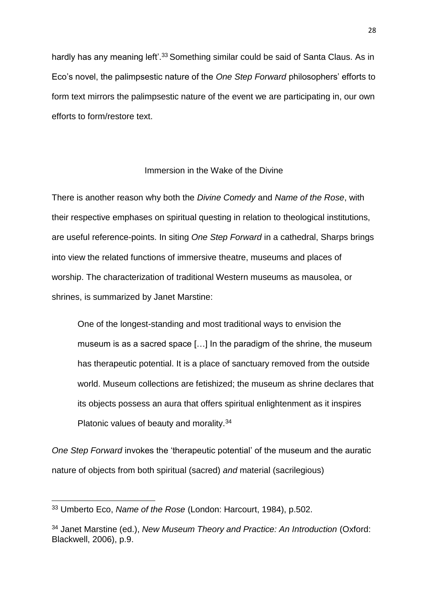hardly has any meaning left'.<sup>33</sup> Something similar could be said of Santa Claus. As in Eco's novel, the palimpsestic nature of the *One Step Forward* philosophers' efforts to form text mirrors the palimpsestic nature of the event we are participating in, our own efforts to form/restore text.

# Immersion in the Wake of the Divine

There is another reason why both the *Divine Comedy* and *Name of the Rose*, with their respective emphases on spiritual questing in relation to theological institutions, are useful reference-points. In siting *One Step Forward* in a cathedral, Sharps brings into view the related functions of immersive theatre, museums and places of worship. The characterization of traditional Western museums as mausolea, or shrines, is summarized by Janet Marstine:

One of the longest-standing and most traditional ways to envision the museum is as a sacred space […] In the paradigm of the shrine, the museum has therapeutic potential. It is a place of sanctuary removed from the outside world. Museum collections are fetishized; the museum as shrine declares that its objects possess an aura that offers spiritual enlightenment as it inspires Platonic values of beauty and morality.<sup>34</sup>

*One Step Forward* invokes the 'therapeutic potential' of the museum and the auratic nature of objects from both spiritual (sacred) *and* material (sacrilegious)

<sup>33</sup> Umberto Eco, *Name of the Rose* (London: Harcourt, 1984), p.502.

<sup>34</sup> Janet Marstine (ed.), *New Museum Theory and Practice: An Introduction* (Oxford: Blackwell, 2006), p.9.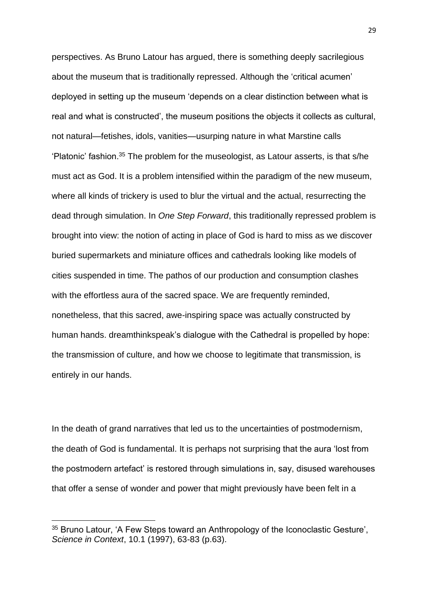perspectives. As Bruno Latour has argued, there is something deeply sacrilegious about the museum that is traditionally repressed. Although the 'critical acumen' deployed in setting up the museum 'depends on a clear distinction between what is real and what is constructed', the museum positions the objects it collects as cultural, not natural—fetishes, idols, vanities—usurping nature in what Marstine calls 'Platonic' fashion.<sup>35</sup> The problem for the museologist, as Latour asserts, is that s/he must act as God. It is a problem intensified within the paradigm of the new museum, where all kinds of trickery is used to blur the virtual and the actual, resurrecting the dead through simulation. In *One Step Forward*, this traditionally repressed problem is brought into view: the notion of acting in place of God is hard to miss as we discover buried supermarkets and miniature offices and cathedrals looking like models of cities suspended in time. The pathos of our production and consumption clashes with the effortless aura of the sacred space. We are frequently reminded, nonetheless, that this sacred, awe-inspiring space was actually constructed by human hands. dreamthinkspeak's dialogue with the Cathedral is propelled by hope: the transmission of culture, and how we choose to legitimate that transmission, is entirely in our hands.

In the death of grand narratives that led us to the uncertainties of postmodernism, the death of God is fundamental. It is perhaps not surprising that the aura 'lost from the postmodern artefact' is restored through simulations in, say, disused warehouses that offer a sense of wonder and power that might previously have been felt in a

<sup>&</sup>lt;sup>35</sup> Bruno Latour, 'A Few Steps toward an Anthropology of the Iconoclastic Gesture', *Science in Context*, 10.1 (1997), 63-83 (p.63).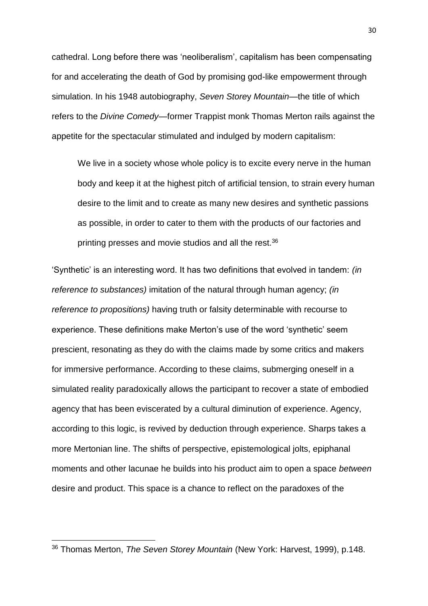cathedral. Long before there was 'neoliberalism', capitalism has been compensating for and accelerating the death of God by promising god-like empowerment through simulation. In his 1948 autobiography, *Seven Store*y *Mountain*—the title of which refers to the *Divine Comedy*—former Trappist monk Thomas Merton rails against the appetite for the spectacular stimulated and indulged by modern capitalism:

We live in a society whose whole policy is to excite every nerve in the human body and keep it at the highest pitch of artificial tension, to strain every human desire to the limit and to create as many new desires and synthetic passions as possible, in order to cater to them with the products of our factories and printing presses and movie studios and all the rest.<sup>36</sup>

'Synthetic' is an interesting word. It has two definitions that evolved in tandem: *(in reference to substances)* imitation of the natural through human agency; *(in reference to propositions)* having truth or falsity determinable with recourse to experience. These definitions make Merton's use of the word 'synthetic' seem prescient, resonating as they do with the claims made by some critics and makers for immersive performance. According to these claims, submerging oneself in a simulated reality paradoxically allows the participant to recover a state of embodied agency that has been eviscerated by a cultural diminution of experience. Agency, according to this logic, is revived by deduction through experience. Sharps takes a more Mertonian line. The shifts of perspective, epistemological jolts, epiphanal moments and other lacunae he builds into his product aim to open a space *between* desire and product. This space is a chance to reflect on the paradoxes of the

<sup>36</sup> Thomas Merton, *The Seven Storey Mountain* (New York: Harvest, 1999), p.148.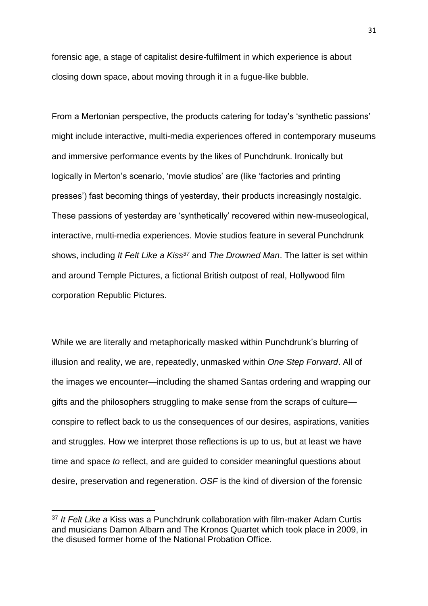forensic age, a stage of capitalist desire-fulfilment in which experience is about closing down space, about moving through it in a fugue-like bubble.

From a Mertonian perspective, the products catering for today's 'synthetic passions' might include interactive, multi-media experiences offered in contemporary museums and immersive performance events by the likes of Punchdrunk. Ironically but logically in Merton's scenario, 'movie studios' are (like 'factories and printing presses') fast becoming things of yesterday, their products increasingly nostalgic. These passions of yesterday are 'synthetically' recovered within new-museological, interactive, multi-media experiences. Movie studios feature in several Punchdrunk shows, including *It Felt Like a Kiss<sup>37</sup>* and *The Drowned Man*. The latter is set within and around Temple Pictures, a fictional British outpost of real, Hollywood film corporation Republic Pictures.

While we are literally and metaphorically masked within Punchdrunk's blurring of illusion and reality, we are, repeatedly, unmasked within *One Step Forward*. All of the images we encounter—including the shamed Santas ordering and wrapping our gifts and the philosophers struggling to make sense from the scraps of culture conspire to reflect back to us the consequences of our desires, aspirations, vanities and struggles. How we interpret those reflections is up to us, but at least we have time and space *to* reflect, and are guided to consider meaningful questions about desire, preservation and regeneration. *OSF* is the kind of diversion of the forensic

 $\overline{a}$ 

<sup>37</sup> *It Felt Like a* Kiss was a Punchdrunk collaboration with film-maker Adam Curtis and musicians Damon Albarn and The Kronos Quartet which took place in 2009, in the disused former home of the National Probation Office.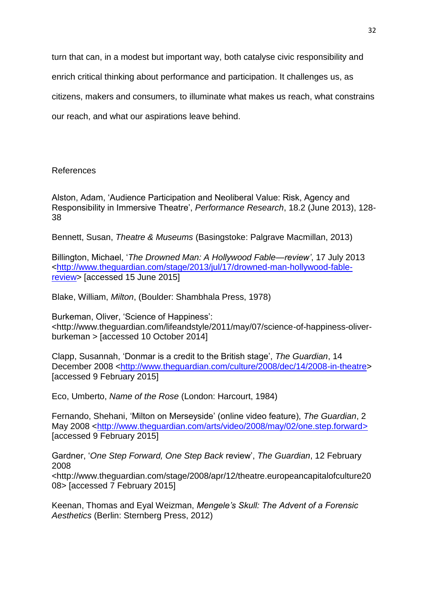turn that can, in a modest but important way, both catalyse civic responsibility and enrich critical thinking about performance and participation. It challenges us, as citizens, makers and consumers, to illuminate what makes us reach, what constrains our reach, and what our aspirations leave behind.

## References

Alston, Adam, 'Audience Participation and Neoliberal Value: Risk, Agency and Responsibility in Immersive Theatre', *Performance Research*, 18.2 (June 2013), 128- 38

Bennett, Susan, *Theatre & Museums* (Basingstoke: Palgrave Macmillan, 2013)

Billington, Michael, '*The Drowned Man: A Hollywood Fable—review'*, 17 July 2013 [<http://www.theguardian.com/stage/2013/jul/17/drowned-man-hollywood-fable](http://www.theguardian.com/stage/2013/jul/17/drowned-man-hollywood-fable-review)[review>](http://www.theguardian.com/stage/2013/jul/17/drowned-man-hollywood-fable-review) [accessed 15 June 2015]

Blake, William, *Milton*, (Boulder: Shambhala Press, 1978)

Burkeman, Oliver, 'Science of Happiness': <http://www.theguardian.com/lifeandstyle/2011/may/07/science-of-happiness-oliverburkeman > [accessed 10 October 2014]

Clapp, Susannah, 'Donmar is a credit to the British stage', *The Guardian*, 14 December 2008 [<http://www.theguardian.com/culture/2008/dec/14/2008-in-theatre>](http://www.theguardian.com/culture/2008/dec/14/2008-in-theatre) [accessed 9 February 2015]

Eco, Umberto, *Name of the Rose* (London: Harcourt, 1984)

Fernando, Shehani, 'Milton on Merseyside' (online video feature), *The Guardian*, 2 May 2008 [<http://www.theguardian.com/arts/video/2008/may/02/one.step.forward>](http://www.theguardian.com/arts/video/2008/may/02/one.step.forward) [accessed 9 February 2015]

Gardner, '*One Step Forward, One Step Back* review', *The Guardian*, 12 February 2008

<http://www.theguardian.com/stage/2008/apr/12/theatre.europeancapitalofculture20 08> [accessed 7 February 2015]

Keenan, Thomas and Eyal Weizman, *Mengele's Skull: The Advent of a Forensic Aesthetics* (Berlin: Sternberg Press, 2012)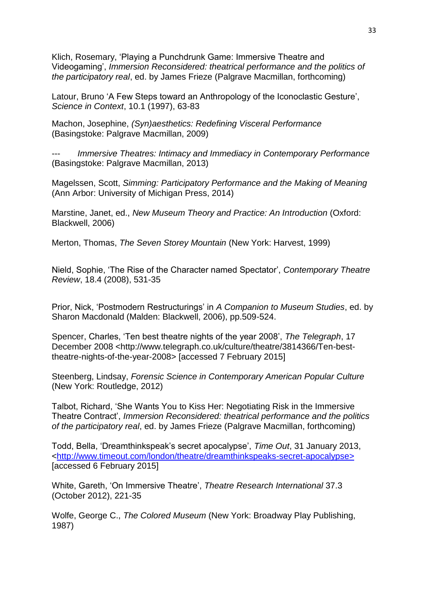Klich, Rosemary, 'Playing a Punchdrunk Game: Immersive Theatre and Videogaming', *Immersion Reconsidered: theatrical performance and the politics of the participatory real*, ed. by James Frieze (Palgrave Macmillan, forthcoming)

Latour, Bruno 'A Few Steps toward an Anthropology of the Iconoclastic Gesture', *Science in Context*, 10.1 (1997), 63-83

Machon, Josephine, *(Syn)aesthetics: Redefining Visceral Performance*  (Basingstoke: Palgrave Macmillan, 2009)

**Immersive Theatres: Intimacy and Immediacy in Contemporary Performance** (Basingstoke: Palgrave Macmillan, 2013)

Magelssen, Scott, *Simming: Participatory Performance and the Making of Meaning* (Ann Arbor: University of Michigan Press, 2014)

Marstine, Janet, ed., *New Museum Theory and Practice: An Introduction* (Oxford: Blackwell, 2006)

Merton, Thomas, *The Seven Storey Mountain* (New York: Harvest, 1999)

Nield, Sophie, 'The Rise of the Character named Spectator', *Contemporary Theatre Review*, 18.4 (2008), 531-35

Prior, Nick, 'Postmodern Restructurings' in *A Companion to Museum Studies*, ed. by Sharon Macdonald (Malden: Blackwell, 2006), pp.509-524.

Spencer, Charles, 'Ten best theatre nights of the year 2008', *The Telegraph*, 17 December 2008 <http://www.telegraph.co.uk/culture/theatre/3814366/Ten-besttheatre-nights-of-the-year-2008> [accessed 7 February 2015]

Steenberg, Lindsay, *Forensic Science in Contemporary American Popular Culture*  (New York: Routledge, 2012)

Talbot, Richard, 'She Wants You to Kiss Her: Negotiating Risk in the Immersive Theatre Contract', *Immersion Reconsidered: theatrical performance and the politics of the participatory real*, ed. by James Frieze (Palgrave Macmillan, forthcoming)

Todd, Bella, 'Dreamthinkspeak's secret apocalypse', *Time Out*, 31 January 2013, [<http://www.timeout.com/london/theatre/dreamthinkspeaks-secret-apocalypse>](http://www.timeout.com/london/theatre/dreamthinkspeaks-secret-apocalypse) [accessed 6 February 2015]

White, Gareth, 'On Immersive Theatre', *Theatre Research International* 37.3 (October 2012), 221-35

Wolfe, George C., *The Colored Museum* (New York: Broadway Play Publishing, 1987)